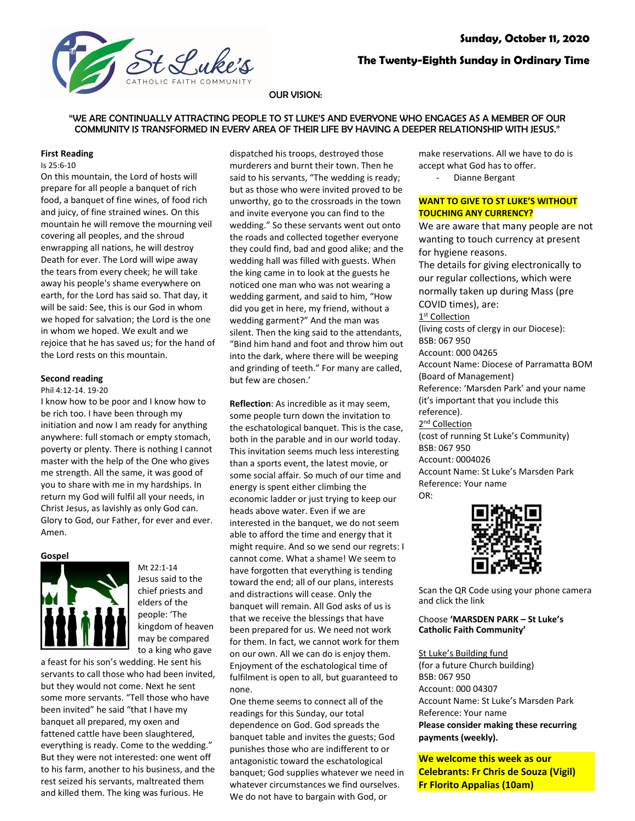

# **The Twenty-Eighth Sunday in Ordinary Time**

# OUR VISION:

# "WE ARE CONTINUALLY ATTRACTING PEOPLE TO ST LUKE'S AND EVERYONE WHO ENGAGES AS A MEMBER OF OUR COMMUNITY IS TRANSFORMED IN EVERY AREA OF THEIR LIFE BY HAVING A DEEPER RELATIONSHIP WITH JESUS."

#### **First Reading**

# Is 25:6-10

On this mountain, the Lord of hosts will prepare for all people a banquet of rich food, a banquet of fine wines, of food rich and juicy, of fine strained wines. On this mountain he will remove the mourning veil covering all peoples, and the shroud enwrapping all nations, he will destroy Death for ever. The Lord will wipe away the tears from every cheek; he will take away his people's shame everywhere on earth, for the Lord has said so. That day, it will be said: See, this is our God in whom we hoped for salvation; the Lord is the one in whom we hoped. We exult and we rejoice that he has saved us; for the hand of the Lord rests on this mountain.

# **Second reading**

#### Phil 4:12-14. 19-20

I know how to be poor and I know how to be rich too. I have been through my initiation and now I am ready for anything anywhere: full stomach or empty stomach, poverty or plenty. There is nothing I cannot master with the help of the One who gives me strength. All the same, it was good of you to share with me in my hardships. In return my God will fulfil all your needs, in Christ Jesus, as lavishly as only God can. Glory to God, our Father, for ever and ever. Amen.

#### **Gospel**



Mt 22:1-14 Jesus said to the chief priests and elders of the people: 'The kingdom of heaven may be compared to a king who gave

a feast for his son's wedding. He sent his servants to call those who had been invited, but they would not come. Next he sent some more servants. "Tell those who have been invited" he said "that I have my banquet all prepared, my oxen and fattened cattle have been slaughtered, everything is ready. Come to the wedding." But they were not interested: one went off to his farm, another to his business, and the rest seized his servants, maltreated them and killed them. The king was furious. He

dispatched his troops, destroyed those murderers and burnt their town. Then he said to his servants, "The wedding is ready; but as those who were invited proved to be unworthy, go to the crossroads in the town and invite everyone you can find to the wedding." So these servants went out onto the roads and collected together everyone they could find, bad and good alike; and the wedding hall was filled with guests. When the king came in to look at the guests he noticed one man who was not wearing a wedding garment, and said to him, "How did you get in here, my friend, without a wedding garment?" And the man was silent. Then the king said to the attendants, "Bind him hand and foot and throw him out into the dark, where there will be weeping and grinding of teeth." For many are called, but few are chosen.'

**Reflection**: As incredible as it may seem, some people turn down the invitation to the eschatological banquet. This is the case, both in the parable and in our world today. This invitation seems much less interesting than a sports event, the latest movie, or some social affair. So much of our time and energy is spent either climbing the economic ladder or just trying to keep our heads above water. Even if we are interested in the banquet, we do not seem able to afford the time and energy that it might require. And so we send our regrets: I cannot come. What a shame! We seem to have forgotten that everything is tending toward the end; all of our plans, interests and distractions will cease. Only the banquet will remain. All God asks of us is that we receive the blessings that have been prepared for us. We need not work for them. In fact, we cannot work for them on our own. All we can do is enjoy them. Enjoyment of the eschatological time of fulfilment is open to all, but guaranteed to none.

One theme seems to connect all of the readings for this Sunday, our total dependence on God. God spreads the banquet table and invites the guests; God punishes those who are indifferent to or antagonistic toward the eschatological banquet; God supplies whatever we need in whatever circumstances we find ourselves. We do not have to bargain with God, or

make reservations. All we have to do is accept what God has to offer. Dianne Bergant

# **WANT TO GIVE TO ST LUKE'S WITHOUT TOUCHING ANY CURRENCY?**

We are aware that many people are not wanting to touch currency at present for hygiene reasons. The details for giving electronically to our regular collections, which were normally taken up during Mass (pre COVID times), are: 1<sup>st</sup> Collection (living costs of clergy in our Diocese): BSB: 067 950 Account: 000 04265 Account Name: Diocese of Parramatta BOM (Board of Management) Reference: 'Marsden Park' and your name (it's important that you include this reference). 2<sup>nd</sup> Collection (cost of running St Luke's Community) BSB: 067 950 Account: 0004026 Account Name: St Luke's Marsden Park Reference: Your name OR:



Scan the QR Code using your phone camera and click the link

# Choose **'MARSDEN PARK – St Luke's Catholic Faith Community'**

#### St Luke's Building fund

(for a future Church building) BSB: 067 950 Account: 000 04307 Account Name: St Luke's Marsden Park Reference: Your name **Please consider making these recurring payments (weekly).**

**We welcome this week as our Celebrants: Fr Chris de Souza (Vigil) Fr Florito Appalias (10am)**